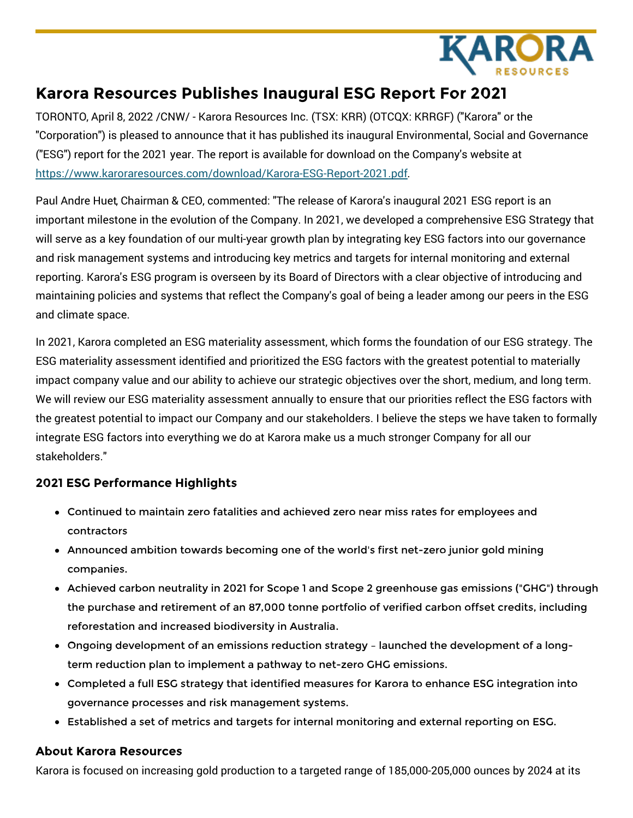

# **Karora Resources Publishes Inaugural ESG Report For 2021**

TORONTO, April 8, 2022 /CNW/ - Karora Resources Inc. (TSX: KRR) (OTCQX: KRRGF) ("Karora" or the "Corporation") is pleased to announce that it has published its inaugural Environmental, Social and Governance ("ESG") report for the 2021 year. The report is available for download on the Company's website at [https://www.karoraresources.com/download/Karora-ESG-Report-2021.pdf](https://c212.net/c/link/?t=0&l=en&o=3498859-1&h=2515627078&u=https%3A%2F%2Fwww.karoraresources.com%2Fdownload%2FKarora-ESG-Report-2021.pdf&a=https%3A%2F%2Fwww.karoraresources.com%2Fdownload%2FKarora-ESG-Report-2021.pdf).

Paul Andre Huet, Chairman & CEO, commented: "The release of Karora's inaugural 2021 ESG report is an important milestone in the evolution of the Company. In 2021, we developed a comprehensive ESG Strategy that will serve as a key foundation of our multi-year growth plan by integrating key ESG factors into our governance and risk management systems and introducing key metrics and targets for internal monitoring and external reporting. Karora's ESG program is overseen by its Board of Directors with a clear objective of introducing and maintaining policies and systems that reflect the Company's goal of being a leader among our peers in the ESG and climate space.

In 2021, Karora completed an ESG materiality assessment, which forms the foundation of our ESG strategy. The ESG materiality assessment identified and prioritized the ESG factors with the greatest potential to materially impact company value and our ability to achieve our strategic objectives over the short, medium, and long term. We will review our ESG materiality assessment annually to ensure that our priorities reflect the ESG factors with the greatest potential to impact our Company and our stakeholders. I believe the steps we have taken to formally integrate ESG factors into everything we do at Karora make us a much stronger Company for all our stakeholders."

## **2021 ESG Performance Highlights**

- Continued to maintain zero fatalities and achieved zero near miss rates for employees and contractors
- Announced ambition towards becoming one of the world's first net-zero junior gold mining companies.
- Achieved carbon neutrality in 2021 for Scope 1 and Scope 2 greenhouse gas emissions ("GHG") through the purchase and retirement of an 87,000 tonne portfolio of verified carbon offset credits, including reforestation and increased biodiversity in Australia.
- Ongoing development of an emissions reduction strategy launched the development of a longterm reduction plan to implement a pathway to net-zero GHG emissions.
- Completed a full ESG strategy that identified measures for Karora to enhance ESG integration into governance processes and risk management systems.
- Established a set of metrics and targets for internal monitoring and external reporting on ESG.

### **About Karora Resources**

Karora is focused on increasing gold production to a targeted range of 185,000-205,000 ounces by 2024 at its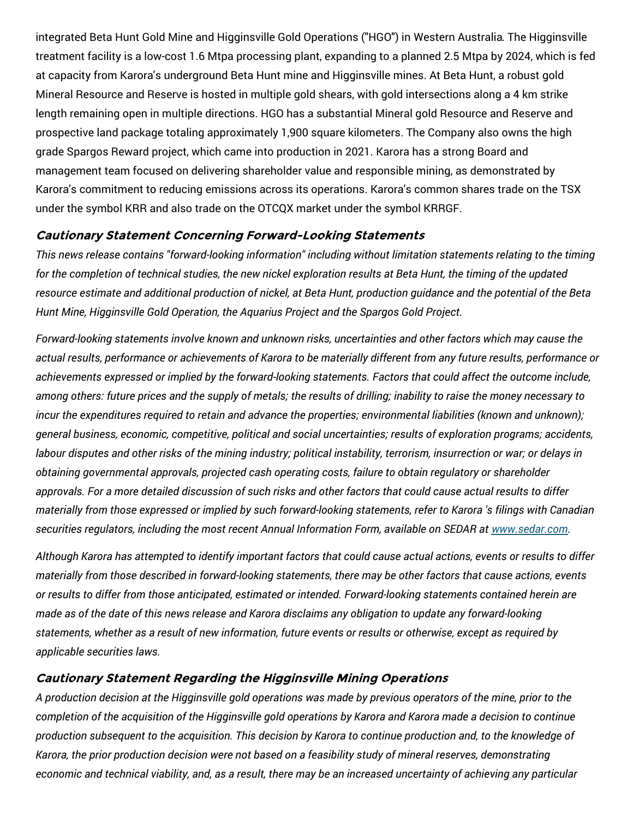integrated Beta Hunt Gold Mine and Higginsville Gold Operations ("HGO") in Western Australia. The Higginsville treatment facility is a low-cost 1.6 Mtpa processing plant, expanding to a planned 2.5 Mtpa by 2024, which is fed at capacity from Karora's underground Beta Hunt mine and Higginsville mines. At Beta Hunt, a robust gold Mineral Resource and Reserve is hosted in multiple gold shears, with gold intersections along a 4 km strike length remaining open in multiple directions. HGO has a substantial Mineral gold Resource and Reserve and prospective land package totaling approximately 1,900 square kilometers. The Company also owns the high grade Spargos Reward project, which came into production in 2021. Karora has a strong Board and management team focused on delivering shareholder value and responsible mining, as demonstrated by Karora's commitment to reducing emissions across its operations. Karora's common shares trade on the TSX under the symbol KRR and also trade on the OTCQX market under the symbol KRRGF.

### **Cautionary Statement Concerning Forward-Looking Statements**

*This news release contains "forward-looking information" including without limitation statements relating to the timing* for the completion of technical studies, the new nickel exploration results at Beta Hunt, the timing of the updated resource estimate and additional production of nickel, at Beta Hunt, production quidance and the potential of the Beta *Hunt Mine, Higginsville Gold Operation, the Aquarius Project and the Spargos Gold Project.*

*Forward-looking statements involve known and unknown risks, uncertainties and other factors which may cause the* actual results, performance or achievements of Karora to be materially different from any future results, performance or *achievements expressed or implied by the forward-looking statements. Factors that could affect the outcome include,* among others: future prices and the supply of metals; the results of drilling; inability to raise the money necessary to *incur the expenditures required to retain and advance the properties; environmental liabilities (known and unknown); general business, economic, competitive, political and social uncertainties; results of exploration programs; accidents,* labour disputes and other risks of the mining industry; political instability, terrorism, insurrection or war; or delays in *obtaining governmental approvals, projected cash operating costs, failure to obtain regulatory or shareholder* approvals. For a more detailed discussion of such risks and other factors that could cause actual results to differ materially from those expressed or implied by such forward-looking statements, refer to Karora 's filings with Canadian *securities regulators, including the most recent Annual Information Form, available on SEDAR at [www.sedar.com](https://c212.net/c/link/?t=0&l=en&o=3498859-1&h=1708833491&u=http%3A%2F%2Fwww.sedar.com&a=www.sedar.com).*

Although Karora has attempted to identify important factors that could cause actual actions, events or results to differ materially from those described in forward-looking statements, there may be other factors that cause actions, events *or results to differ from those anticipated, estimated or intended. Forward-looking statements contained herein are* made as of the date of this news release and Karora disclaims any obligation to update any forward-looking statements, whether as a result of new information, future events or results or otherwise, except as required by *applicable securities laws.*

### **Cautionary Statement Regarding the Higginsville Mining Operations**

A production decision at the Higginsville gold operations was made by previous operators of the mine, prior to the completion of the acquisition of the Higginsville gold operations by Karora and Karora made a decision to continue production subsequent to the acquisition. This decision by Karora to continue production and, to the knowledge of *Karora, the prior production decision were not based on a feasibility study of mineral reserves, demonstrating* economic and technical viability, and, as a result, there may be an increased uncertainty of achieving any particular